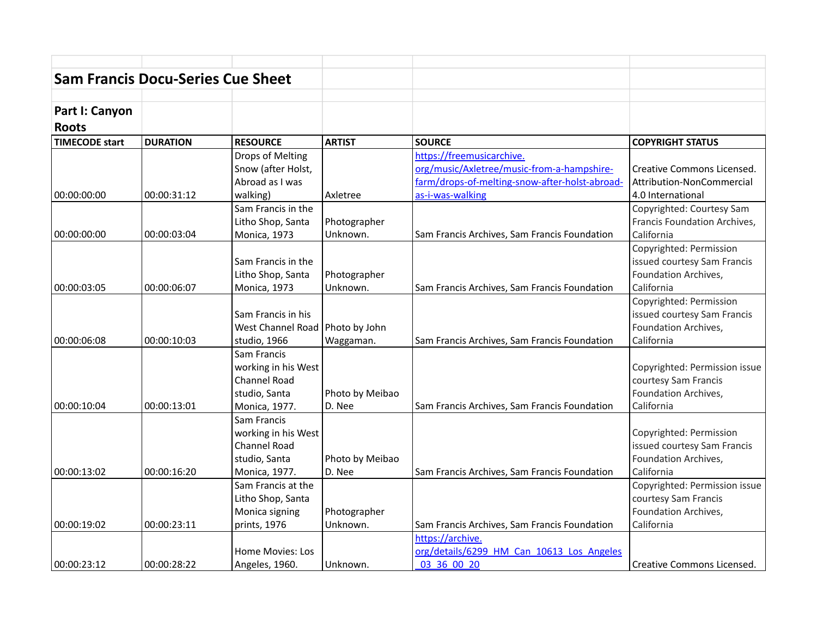| <b>Sam Francis Docu-Series Cue Sheet</b> |                 |                     |                 |                                                |                               |
|------------------------------------------|-----------------|---------------------|-----------------|------------------------------------------------|-------------------------------|
|                                          |                 |                     |                 |                                                |                               |
| Part I: Canyon<br><b>Roots</b>           |                 |                     |                 |                                                |                               |
| <b>TIMECODE start</b>                    | <b>DURATION</b> | <b>RESOURCE</b>     | <b>ARTIST</b>   | <b>SOURCE</b>                                  | <b>COPYRIGHT STATUS</b>       |
|                                          |                 | Drops of Melting    |                 | https://freemusicarchive.                      |                               |
|                                          |                 | Snow (after Holst,  |                 | org/music/Axletree/music-from-a-hampshire-     | Creative Commons Licensed.    |
|                                          |                 | Abroad as I was     |                 | farm/drops-of-melting-snow-after-holst-abroad- | Attribution-NonCommercial     |
| 00:00:00:00                              | 00:00:31:12     | walking)            | Axletree        | as-i-was-walking                               | 4.0 International             |
|                                          |                 | Sam Francis in the  |                 |                                                | Copyrighted: Courtesy Sam     |
|                                          |                 | Litho Shop, Santa   | Photographer    |                                                | Francis Foundation Archives,  |
| 00:00:00:00                              | 00:00:03:04     | Monica, 1973        | Unknown.        | Sam Francis Archives, Sam Francis Foundation   | California                    |
|                                          |                 |                     |                 |                                                | Copyrighted: Permission       |
|                                          |                 | Sam Francis in the  |                 |                                                | issued courtesy Sam Francis   |
|                                          |                 | Litho Shop, Santa   | Photographer    |                                                | Foundation Archives,          |
| 00:00:03:05                              | 00:00:06:07     | Monica, 1973        | Unknown.        | Sam Francis Archives, Sam Francis Foundation   | California                    |
|                                          |                 |                     |                 |                                                | Copyrighted: Permission       |
|                                          |                 | Sam Francis in his  |                 |                                                | issued courtesy Sam Francis   |
|                                          |                 | West Channel Road   | Photo by John   |                                                | Foundation Archives,          |
| 00:00:06:08                              | 00:00:10:03     | studio, 1966        | Waggaman.       | Sam Francis Archives, Sam Francis Foundation   | California                    |
|                                          |                 | Sam Francis         |                 |                                                |                               |
|                                          |                 | working in his West |                 |                                                | Copyrighted: Permission issue |
|                                          |                 | Channel Road        |                 |                                                | courtesy Sam Francis          |
|                                          |                 | studio, Santa       | Photo by Meibao |                                                | Foundation Archives,          |
| 00:00:10:04                              | 00:00:13:01     | Monica, 1977.       | D. Nee          | Sam Francis Archives, Sam Francis Foundation   | California                    |
|                                          |                 | Sam Francis         |                 |                                                |                               |
|                                          |                 | working in his West |                 |                                                | Copyrighted: Permission       |
|                                          |                 | Channel Road        |                 |                                                | issued courtesy Sam Francis   |
|                                          |                 | studio, Santa       | Photo by Meibao |                                                | Foundation Archives,          |
| 00:00:13:02                              | 00:00:16:20     | Monica, 1977.       | D. Nee          | Sam Francis Archives, Sam Francis Foundation   | California                    |
|                                          |                 | Sam Francis at the  |                 |                                                | Copyrighted: Permission issue |
|                                          |                 | Litho Shop, Santa   |                 |                                                | courtesy Sam Francis          |
|                                          |                 | Monica signing      | Photographer    |                                                | Foundation Archives,          |
| 00:00:19:02                              | 00:00:23:11     | prints, 1976        | Unknown.        | Sam Francis Archives, Sam Francis Foundation   | California                    |
|                                          |                 |                     |                 | https://archive.                               |                               |
|                                          |                 | Home Movies: Los    |                 | org/details/6299 HM Can 10613 Los Angeles      |                               |
| 00:00:23:12                              | 00:00:28:22     | Angeles, 1960.      | Unknown.        | 03 36 00 20                                    | Creative Commons Licensed.    |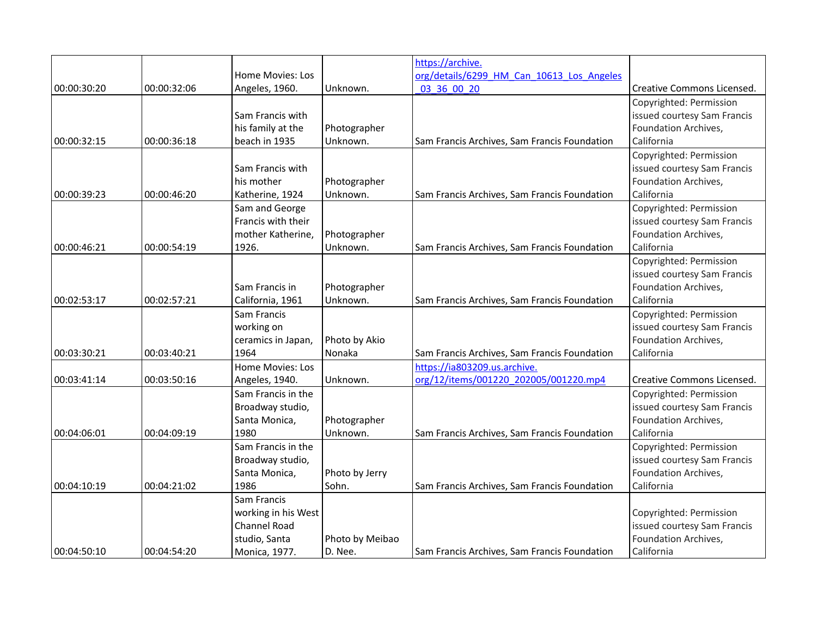|             |             |                     |                 | https://archive.                             |                             |
|-------------|-------------|---------------------|-----------------|----------------------------------------------|-----------------------------|
|             |             | Home Movies: Los    |                 | org/details/6299 HM Can 10613 Los Angeles    |                             |
| 00:00:30:20 | 00:00:32:06 | Angeles, 1960.      | Unknown.        | 03 36 00 20                                  | Creative Commons Licensed.  |
|             |             |                     |                 |                                              | Copyrighted: Permission     |
|             |             | Sam Francis with    |                 |                                              | issued courtesy Sam Francis |
|             |             | his family at the   | Photographer    |                                              | Foundation Archives,        |
| 00:00:32:15 | 00:00:36:18 | beach in 1935       | Unknown.        | Sam Francis Archives, Sam Francis Foundation | California                  |
|             |             |                     |                 |                                              | Copyrighted: Permission     |
|             |             | Sam Francis with    |                 |                                              | issued courtesy Sam Francis |
|             |             | his mother          | Photographer    |                                              | Foundation Archives,        |
| 00:00:39:23 | 00:00:46:20 | Katherine, 1924     | Unknown.        | Sam Francis Archives, Sam Francis Foundation | California                  |
|             |             | Sam and George      |                 |                                              | Copyrighted: Permission     |
|             |             | Francis with their  |                 |                                              | issued courtesy Sam Francis |
|             |             | mother Katherine,   | Photographer    |                                              | Foundation Archives,        |
| 00:00:46:21 | 00:00:54:19 | 1926.               | Unknown.        | Sam Francis Archives, Sam Francis Foundation | California                  |
|             |             |                     |                 |                                              | Copyrighted: Permission     |
|             |             |                     |                 |                                              | issued courtesy Sam Francis |
|             |             | Sam Francis in      | Photographer    |                                              | Foundation Archives,        |
| 00:02:53:17 | 00:02:57:21 | California, 1961    | Unknown.        | Sam Francis Archives, Sam Francis Foundation | California                  |
|             |             | Sam Francis         |                 |                                              | Copyrighted: Permission     |
|             |             | working on          |                 |                                              | issued courtesy Sam Francis |
|             |             | ceramics in Japan,  | Photo by Akio   |                                              | Foundation Archives,        |
| 00:03:30:21 | 00:03:40:21 | 1964                | Nonaka          | Sam Francis Archives, Sam Francis Foundation | California                  |
|             |             | Home Movies: Los    |                 | https://ia803209.us.archive.                 |                             |
| 00:03:41:14 | 00:03:50:16 | Angeles, 1940.      | Unknown.        | org/12/items/001220 202005/001220.mp4        | Creative Commons Licensed.  |
|             |             | Sam Francis in the  |                 |                                              | Copyrighted: Permission     |
|             |             | Broadway studio,    |                 |                                              | issued courtesy Sam Francis |
|             |             | Santa Monica,       | Photographer    |                                              | Foundation Archives,        |
| 00:04:06:01 | 00:04:09:19 | 1980                | Unknown.        | Sam Francis Archives, Sam Francis Foundation | California                  |
|             |             | Sam Francis in the  |                 |                                              | Copyrighted: Permission     |
|             |             | Broadway studio,    |                 |                                              | issued courtesy Sam Francis |
|             |             | Santa Monica,       | Photo by Jerry  |                                              | Foundation Archives,        |
| 00:04:10:19 | 00:04:21:02 | 1986                | Sohn.           | Sam Francis Archives, Sam Francis Foundation | California                  |
|             |             | Sam Francis         |                 |                                              |                             |
|             |             | working in his West |                 |                                              | Copyrighted: Permission     |
|             |             | Channel Road        |                 |                                              | issued courtesy Sam Francis |
|             |             | studio, Santa       | Photo by Meibao |                                              | Foundation Archives,        |
| 00:04:50:10 | 00:04:54:20 | Monica, 1977.       | D. Nee.         | Sam Francis Archives, Sam Francis Foundation | California                  |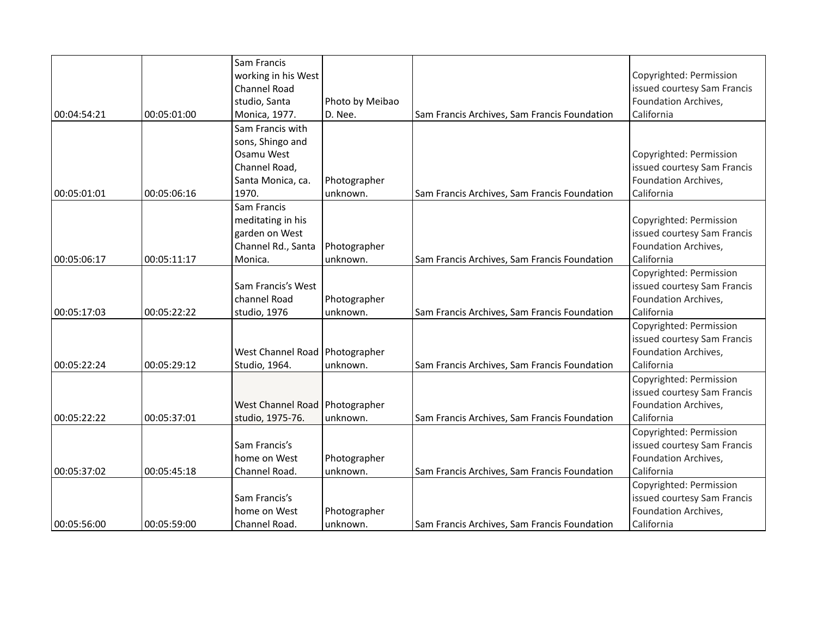|             |             | Sam Francis<br>working in his West |                          |                                              | Copyrighted: Permission                                |
|-------------|-------------|------------------------------------|--------------------------|----------------------------------------------|--------------------------------------------------------|
|             |             | <b>Channel Road</b>                |                          |                                              | issued courtesy Sam Francis                            |
|             |             | studio, Santa                      | Photo by Meibao          |                                              | Foundation Archives,                                   |
| 00:04:54:21 | 00:05:01:00 | Monica, 1977.                      | D. Nee.                  | Sam Francis Archives, Sam Francis Foundation | California                                             |
|             |             | Sam Francis with                   |                          |                                              |                                                        |
|             |             | sons, Shingo and                   |                          |                                              |                                                        |
|             |             | Osamu West                         |                          |                                              | Copyrighted: Permission                                |
|             |             | Channel Road,                      |                          |                                              | issued courtesy Sam Francis                            |
|             |             |                                    |                          |                                              | Foundation Archives,                                   |
| 00:05:01:01 | 00:05:06:16 | Santa Monica, ca.<br>1970.         | Photographer<br>unknown. | Sam Francis Archives, Sam Francis Foundation | California                                             |
|             |             | Sam Francis                        |                          |                                              |                                                        |
|             |             | meditating in his                  |                          |                                              | Copyrighted: Permission                                |
|             |             | garden on West                     |                          |                                              | issued courtesy Sam Francis                            |
|             |             | Channel Rd., Santa                 | Photographer             |                                              | Foundation Archives,                                   |
| 00:05:06:17 | 00:05:11:17 | Monica.                            | unknown.                 | Sam Francis Archives, Sam Francis Foundation | California                                             |
|             |             |                                    |                          |                                              | Copyrighted: Permission                                |
|             |             | Sam Francis's West                 |                          |                                              | issued courtesy Sam Francis                            |
|             |             | channel Road                       | Photographer             |                                              | Foundation Archives,                                   |
| 00:05:17:03 | 00:05:22:22 | studio, 1976                       | unknown.                 | Sam Francis Archives, Sam Francis Foundation | California                                             |
|             |             |                                    |                          |                                              |                                                        |
|             |             |                                    |                          |                                              | Copyrighted: Permission<br>issued courtesy Sam Francis |
|             |             |                                    |                          |                                              |                                                        |
| 00:05:22:24 | 00:05:29:12 | West Channel Road   Photographer   |                          |                                              | Foundation Archives,<br>California                     |
|             |             | Studio, 1964.                      | unknown.                 | Sam Francis Archives, Sam Francis Foundation |                                                        |
|             |             |                                    |                          |                                              | Copyrighted: Permission                                |
|             |             |                                    |                          |                                              | issued courtesy Sam Francis                            |
|             |             | <b>West Channel Road</b>           | Photographer             |                                              | Foundation Archives,<br>California                     |
| 00:05:22:22 | 00:05:37:01 | studio, 1975-76.                   | unknown.                 | Sam Francis Archives, Sam Francis Foundation |                                                        |
|             |             |                                    |                          |                                              | Copyrighted: Permission                                |
|             |             | Sam Francis's                      |                          |                                              | issued courtesy Sam Francis                            |
|             |             | home on West                       | Photographer             |                                              | Foundation Archives,                                   |
| 00:05:37:02 | 00:05:45:18 | Channel Road.                      | unknown.                 | Sam Francis Archives, Sam Francis Foundation | California                                             |
|             |             |                                    |                          |                                              | Copyrighted: Permission                                |
|             |             | Sam Francis's                      |                          |                                              | issued courtesy Sam Francis                            |
|             |             | home on West                       | Photographer             |                                              | Foundation Archives,                                   |
| 00:05:56:00 | 00:05:59:00 | Channel Road.                      | unknown.                 | Sam Francis Archives, Sam Francis Foundation | California                                             |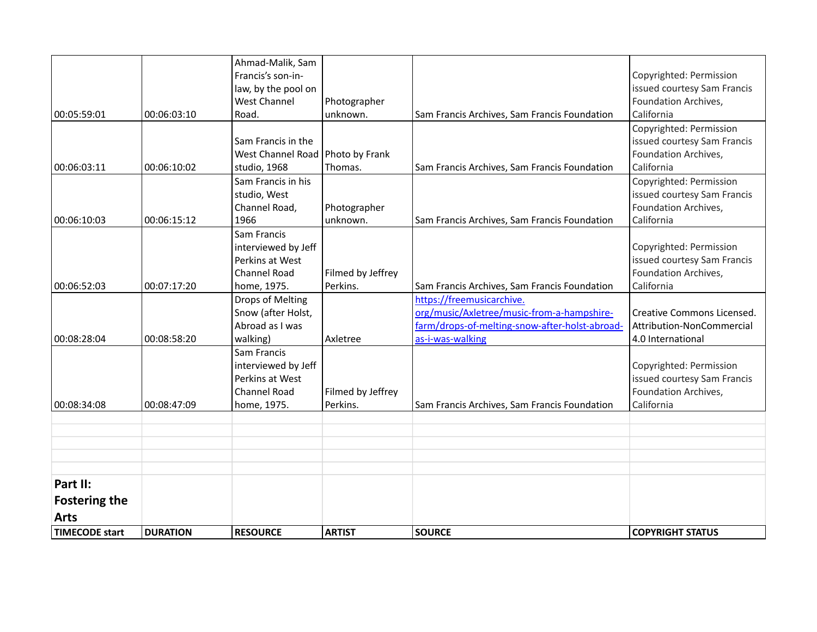| <b>TIMECODE start</b>            | <b>DURATION</b> | <b>RESOURCE</b>                                                                              | <b>ARTIST</b>                 | <b>SOURCE</b>                                                                                                                                 | <b>COPYRIGHT STATUS</b>                                                                      |
|----------------------------------|-----------------|----------------------------------------------------------------------------------------------|-------------------------------|-----------------------------------------------------------------------------------------------------------------------------------------------|----------------------------------------------------------------------------------------------|
| <b>Arts</b>                      |                 |                                                                                              |                               |                                                                                                                                               |                                                                                              |
| Part II:<br><b>Fostering the</b> |                 |                                                                                              |                               |                                                                                                                                               |                                                                                              |
|                                  |                 |                                                                                              |                               |                                                                                                                                               |                                                                                              |
|                                  |                 |                                                                                              |                               |                                                                                                                                               |                                                                                              |
|                                  |                 |                                                                                              |                               |                                                                                                                                               |                                                                                              |
| 00:08:34:08                      | 00:08:47:09     | Sam Francis<br>interviewed by Jeff<br>Perkins at West<br>Channel Road<br>home, 1975.         | Filmed by Jeffrey<br>Perkins. | Sam Francis Archives, Sam Francis Foundation                                                                                                  | Copyrighted: Permission<br>issued courtesy Sam Francis<br>Foundation Archives,<br>California |
| 00:08:28:04                      | 00:08:58:20     | Drops of Melting<br>Snow (after Holst,<br>Abroad as I was<br>walking)                        | Axletree                      | https://freemusicarchive.<br>org/music/Axletree/music-from-a-hampshire-<br>farm/drops-of-melting-snow-after-holst-abroad-<br>as-i-was-walking | Creative Commons Licensed.<br>Attribution-NonCommercial<br>4.0 International                 |
| 00:06:52:03                      | 00:07:17:20     | Sam Francis<br>interviewed by Jeff<br>Perkins at West<br>Channel Road<br>home, 1975.         | Filmed by Jeffrey<br>Perkins. | Sam Francis Archives, Sam Francis Foundation                                                                                                  | Copyrighted: Permission<br>issued courtesy Sam Francis<br>Foundation Archives,<br>California |
| 00:06:10:03                      | 00:06:15:12     | Sam Francis in his<br>studio, West<br>Channel Road,<br>1966                                  | Photographer<br>unknown.      | Sam Francis Archives, Sam Francis Foundation                                                                                                  | Copyrighted: Permission<br>issued courtesy Sam Francis<br>Foundation Archives,<br>California |
| 00:06:03:11                      | 00:06:10:02     | Sam Francis in the<br>West Channel Road<br>studio, 1968                                      | Photo by Frank<br>Thomas.     | Sam Francis Archives, Sam Francis Foundation                                                                                                  | Copyrighted: Permission<br>issued courtesy Sam Francis<br>Foundation Archives,<br>California |
| 00:05:59:01                      | 00:06:03:10     | Ahmad-Malik, Sam<br>Francis's son-in-<br>law, by the pool on<br><b>West Channel</b><br>Road. | Photographer<br>unknown.      | Sam Francis Archives, Sam Francis Foundation                                                                                                  | Copyrighted: Permission<br>issued courtesy Sam Francis<br>Foundation Archives,<br>California |
|                                  |                 |                                                                                              |                               |                                                                                                                                               |                                                                                              |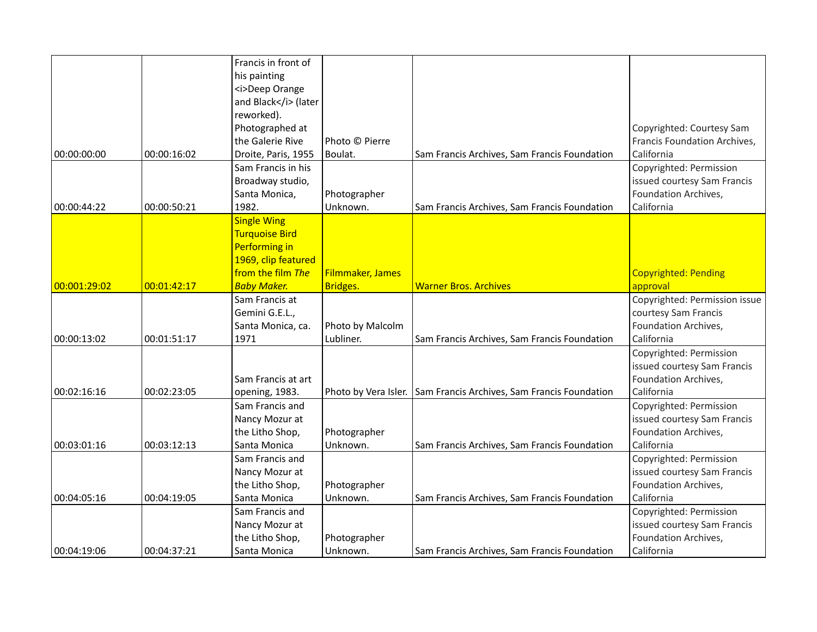|               |             | Francis in front of<br>his painting<br><i>Deep Orange<br/>and Black</i> (later<br>reworked).<br>Photographed at                |                               |                                                                   | Copyrighted: Courtesy Sam                                                                    |
|---------------|-------------|--------------------------------------------------------------------------------------------------------------------------------|-------------------------------|-------------------------------------------------------------------|----------------------------------------------------------------------------------------------|
| 00:00:00:00   | 00:00:16:02 | the Galerie Rive<br>Droite, Paris, 1955                                                                                        | Photo © Pierre<br>Boulat.     | Sam Francis Archives, Sam Francis Foundation                      | Francis Foundation Archives,<br>California                                                   |
| 00:00:44:22   | 00:00:50:21 | Sam Francis in his<br>Broadway studio,<br>Santa Monica,<br>1982.                                                               | Photographer<br>Unknown.      | Sam Francis Archives, Sam Francis Foundation                      | Copyrighted: Permission<br>issued courtesy Sam Francis<br>Foundation Archives,<br>California |
| 00:001:29:02  | 00:01:42:17 | <b>Single Wing</b><br><b>Turquoise Bird</b><br>Performing in<br>1969, clip featured<br>from the film The<br><b>Baby Maker.</b> | Filmmaker, James<br>Bridges.  | <b>Warner Bros. Archives</b>                                      | <b>Copyrighted: Pending</b><br>approval                                                      |
|               |             | Sam Francis at                                                                                                                 |                               |                                                                   | Copyrighted: Permission issue                                                                |
| 00:00:13:02   | 00:01:51:17 | Gemini G.E.L.,<br>Santa Monica, ca.<br>1971                                                                                    | Photo by Malcolm<br>Lubliner. | Sam Francis Archives, Sam Francis Foundation                      | courtesy Sam Francis<br>Foundation Archives,<br>California                                   |
| 00:02:16:16   | 00:02:23:05 | Sam Francis at art<br>opening, 1983.                                                                                           |                               | Photo by Vera Isler. Sam Francis Archives, Sam Francis Foundation | Copyrighted: Permission<br>issued courtesy Sam Francis<br>Foundation Archives,<br>California |
| 00:03:01:16   | 00:03:12:13 | Sam Francis and<br>Nancy Mozur at<br>the Litho Shop,<br>Santa Monica                                                           | Photographer<br>Unknown.      | Sam Francis Archives, Sam Francis Foundation                      | Copyrighted: Permission<br>issued courtesy Sam Francis<br>Foundation Archives,<br>California |
| 00:04:05:16   | 00:04:19:05 | Sam Francis and<br>Nancy Mozur at<br>the Litho Shop,<br>Santa Monica                                                           | Photographer<br>Unknown.      | Sam Francis Archives, Sam Francis Foundation                      | Copyrighted: Permission<br>issued courtesy Sam Francis<br>Foundation Archives,<br>California |
| 00:04:19:06 ا | 00:04:37:21 | Sam Francis and<br>Nancy Mozur at<br>the Litho Shop,<br>Santa Monica                                                           | Photographer<br>Unknown.      | Sam Francis Archives, Sam Francis Foundation                      | Copyrighted: Permission<br>issued courtesy Sam Francis<br>Foundation Archives,<br>California |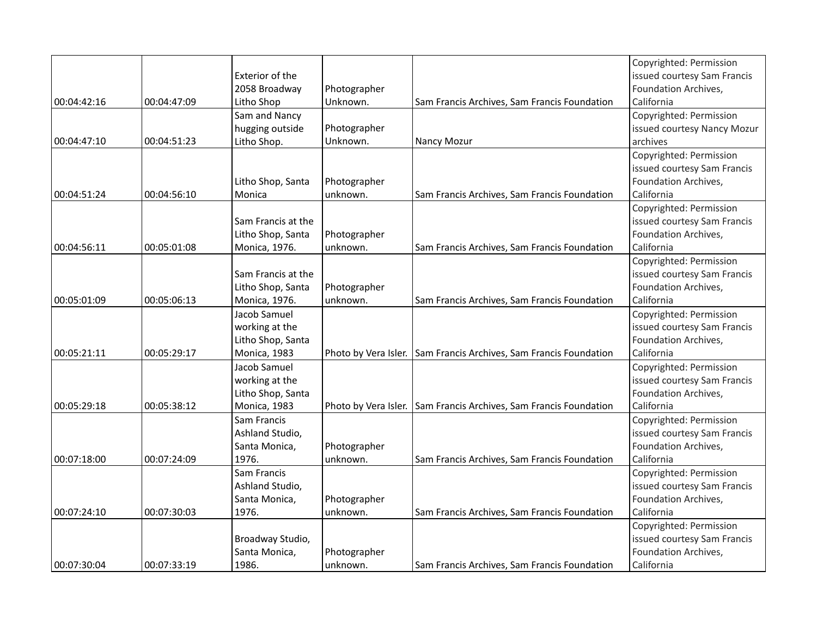|             |             |                    |              |                                                                   | Copyrighted: Permission     |
|-------------|-------------|--------------------|--------------|-------------------------------------------------------------------|-----------------------------|
|             |             | Exterior of the    |              |                                                                   | issued courtesy Sam Francis |
|             |             | 2058 Broadway      | Photographer |                                                                   | Foundation Archives,        |
| 00:04:42:16 | 00:04:47:09 | Litho Shop         | Unknown.     | Sam Francis Archives, Sam Francis Foundation                      | California                  |
|             |             | Sam and Nancy      |              |                                                                   | Copyrighted: Permission     |
|             |             | hugging outside    | Photographer |                                                                   | issued courtesy Nancy Mozur |
| 00:04:47:10 | 00:04:51:23 | Litho Shop.        | Unknown.     | Nancy Mozur                                                       | archives                    |
|             |             |                    |              |                                                                   | Copyrighted: Permission     |
|             |             |                    |              |                                                                   | issued courtesy Sam Francis |
|             |             | Litho Shop, Santa  | Photographer |                                                                   | Foundation Archives,        |
| 00:04:51:24 | 00:04:56:10 | Monica             | unknown.     | Sam Francis Archives, Sam Francis Foundation                      | California                  |
|             |             |                    |              |                                                                   | Copyrighted: Permission     |
|             |             | Sam Francis at the |              |                                                                   | issued courtesy Sam Francis |
|             |             | Litho Shop, Santa  | Photographer |                                                                   | Foundation Archives,        |
| 00:04:56:11 | 00:05:01:08 | Monica, 1976.      | unknown.     | Sam Francis Archives, Sam Francis Foundation                      | California                  |
|             |             |                    |              |                                                                   | Copyrighted: Permission     |
|             |             | Sam Francis at the |              |                                                                   | issued courtesy Sam Francis |
|             |             | Litho Shop, Santa  | Photographer |                                                                   | Foundation Archives,        |
| 00:05:01:09 | 00:05:06:13 | Monica, 1976.      | unknown.     | Sam Francis Archives, Sam Francis Foundation                      | California                  |
|             |             | Jacob Samuel       |              |                                                                   | Copyrighted: Permission     |
|             |             | working at the     |              |                                                                   | issued courtesy Sam Francis |
|             |             | Litho Shop, Santa  |              |                                                                   | Foundation Archives,        |
| 00:05:21:11 | 00:05:29:17 | Monica, 1983       |              | Photo by Vera Isler. Sam Francis Archives, Sam Francis Foundation | California                  |
|             |             | Jacob Samuel       |              |                                                                   | Copyrighted: Permission     |
|             |             | working at the     |              |                                                                   | issued courtesy Sam Francis |
|             |             | Litho Shop, Santa  |              |                                                                   | Foundation Archives,        |
| 00:05:29:18 | 00:05:38:12 | Monica, 1983       |              | Photo by Vera Isler. Sam Francis Archives, Sam Francis Foundation | California                  |
|             |             | Sam Francis        |              |                                                                   | Copyrighted: Permission     |
|             |             | Ashland Studio,    |              |                                                                   | issued courtesy Sam Francis |
|             |             | Santa Monica,      | Photographer |                                                                   | Foundation Archives,        |
| 00:07:18:00 | 00:07:24:09 | 1976.              | unknown.     | Sam Francis Archives, Sam Francis Foundation                      | California                  |
|             |             | Sam Francis        |              |                                                                   | Copyrighted: Permission     |
|             |             | Ashland Studio,    |              |                                                                   | issued courtesy Sam Francis |
|             |             | Santa Monica,      | Photographer |                                                                   | Foundation Archives,        |
| 00:07:24:10 | 00:07:30:03 | 1976.              | unknown.     | Sam Francis Archives, Sam Francis Foundation                      | California                  |
|             |             |                    |              |                                                                   | Copyrighted: Permission     |
|             |             | Broadway Studio,   |              |                                                                   | issued courtesy Sam Francis |
|             |             | Santa Monica,      | Photographer |                                                                   | Foundation Archives,        |
| 00:07:30:04 | 00:07:33:19 | 1986.              | unknown.     | Sam Francis Archives, Sam Francis Foundation                      | California                  |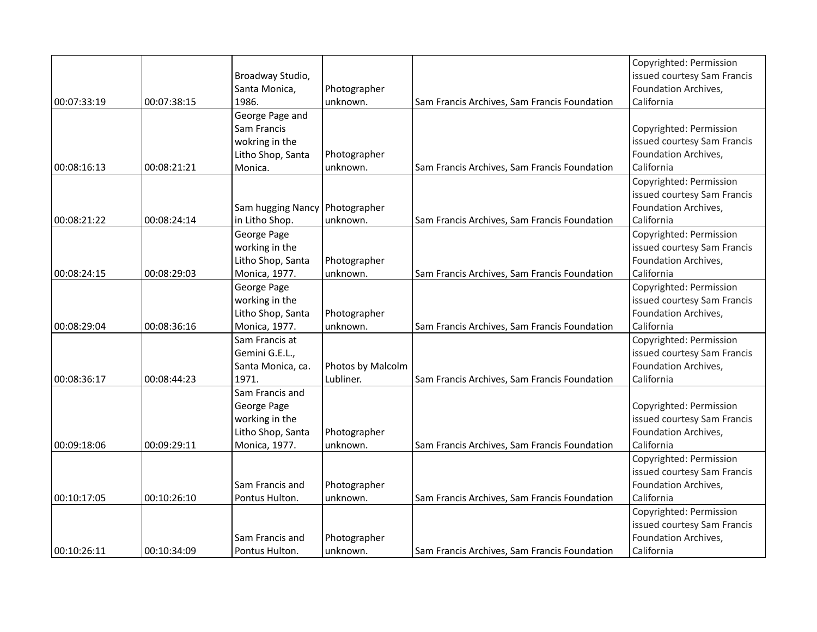|             |             |                   |                   |                                              | Copyrighted: Permission     |
|-------------|-------------|-------------------|-------------------|----------------------------------------------|-----------------------------|
|             |             | Broadway Studio,  |                   |                                              | issued courtesy Sam Francis |
|             |             | Santa Monica,     | Photographer      |                                              | Foundation Archives,        |
| 00:07:33:19 | 00:07:38:15 | 1986.             | unknown.          | Sam Francis Archives, Sam Francis Foundation | California                  |
|             |             | George Page and   |                   |                                              |                             |
|             |             | Sam Francis       |                   |                                              | Copyrighted: Permission     |
|             |             | wokring in the    |                   |                                              | issued courtesy Sam Francis |
|             |             | Litho Shop, Santa | Photographer      |                                              | Foundation Archives,        |
| 00:08:16:13 | 00:08:21:21 | Monica.           | unknown.          | Sam Francis Archives, Sam Francis Foundation | California                  |
|             |             |                   |                   |                                              | Copyrighted: Permission     |
|             |             |                   |                   |                                              | issued courtesy Sam Francis |
|             |             | Sam hugging Nancy | Photographer      |                                              | Foundation Archives,        |
| 00:08:21:22 | 00:08:24:14 | in Litho Shop.    | unknown.          | Sam Francis Archives, Sam Francis Foundation | California                  |
|             |             | George Page       |                   |                                              | Copyrighted: Permission     |
|             |             | working in the    |                   |                                              | issued courtesy Sam Francis |
|             |             | Litho Shop, Santa | Photographer      |                                              | Foundation Archives,        |
| 00:08:24:15 | 00:08:29:03 | Monica, 1977.     | unknown.          | Sam Francis Archives, Sam Francis Foundation | California                  |
|             |             | George Page       |                   |                                              | Copyrighted: Permission     |
|             |             | working in the    |                   |                                              | issued courtesy Sam Francis |
|             |             | Litho Shop, Santa | Photographer      |                                              | Foundation Archives,        |
| 00:08:29:04 | 00:08:36:16 | Monica, 1977.     | unknown.          | Sam Francis Archives, Sam Francis Foundation | California                  |
|             |             | Sam Francis at    |                   |                                              | Copyrighted: Permission     |
|             |             | Gemini G.E.L.,    |                   |                                              | issued courtesy Sam Francis |
|             |             | Santa Monica, ca. | Photos by Malcolm |                                              | Foundation Archives,        |
| 00:08:36:17 | 00:08:44:23 | 1971.             | Lubliner.         | Sam Francis Archives, Sam Francis Foundation | California                  |
|             |             | Sam Francis and   |                   |                                              |                             |
|             |             | George Page       |                   |                                              | Copyrighted: Permission     |
|             |             | working in the    |                   |                                              | issued courtesy Sam Francis |
|             |             | Litho Shop, Santa | Photographer      |                                              | Foundation Archives,        |
| 00:09:18:06 | 00:09:29:11 | Monica, 1977.     | unknown.          | Sam Francis Archives, Sam Francis Foundation | California                  |
|             |             |                   |                   |                                              | Copyrighted: Permission     |
|             |             |                   |                   |                                              | issued courtesy Sam Francis |
|             |             | Sam Francis and   | Photographer      |                                              | Foundation Archives,        |
| 00:10:17:05 | 00:10:26:10 | Pontus Hulton.    | unknown.          | Sam Francis Archives, Sam Francis Foundation | California                  |
|             |             |                   |                   |                                              | Copyrighted: Permission     |
|             |             |                   |                   |                                              | issued courtesy Sam Francis |
|             |             | Sam Francis and   | Photographer      |                                              | Foundation Archives,        |
| 00:10:26:11 | 00:10:34:09 | Pontus Hulton.    | unknown.          | Sam Francis Archives, Sam Francis Foundation | California                  |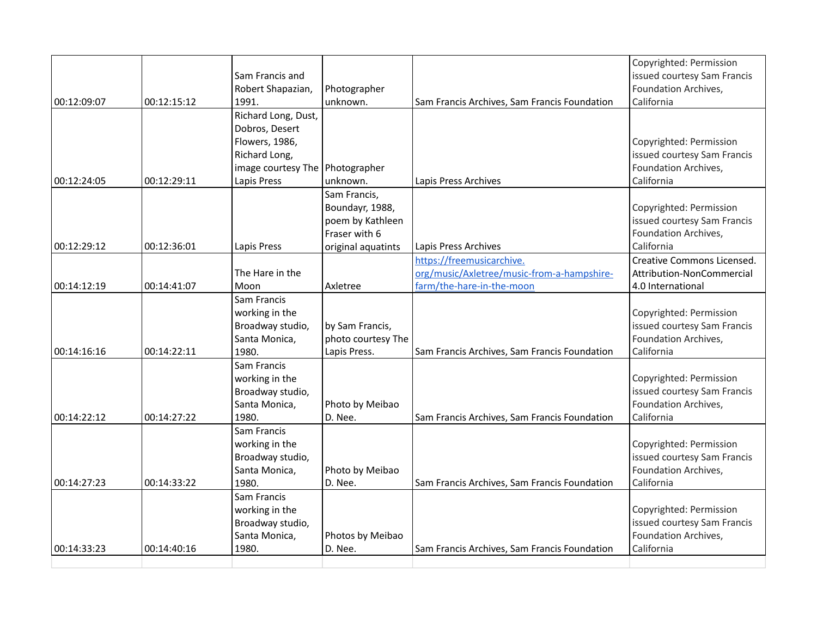|             |             |                     |                    |                                              | Copyrighted: Permission     |
|-------------|-------------|---------------------|--------------------|----------------------------------------------|-----------------------------|
|             |             | Sam Francis and     |                    |                                              | issued courtesy Sam Francis |
|             |             | Robert Shapazian,   | Photographer       |                                              | Foundation Archives,        |
| 00:12:09:07 | 00:12:15:12 | 1991.               | unknown.           | Sam Francis Archives, Sam Francis Foundation | California                  |
|             |             | Richard Long, Dust, |                    |                                              |                             |
|             |             | Dobros, Desert      |                    |                                              |                             |
|             |             | Flowers, 1986,      |                    |                                              | Copyrighted: Permission     |
|             |             | Richard Long,       |                    |                                              | issued courtesy Sam Francis |
|             |             | image courtesy The  | Photographer       |                                              | Foundation Archives,        |
| 00:12:24:05 | 00:12:29:11 | Lapis Press         | unknown.           | Lapis Press Archives                         | California                  |
|             |             |                     | Sam Francis,       |                                              |                             |
|             |             |                     | Boundayr, 1988,    |                                              | Copyrighted: Permission     |
|             |             |                     | poem by Kathleen   |                                              | issued courtesy Sam Francis |
|             |             |                     | Fraser with 6      |                                              | Foundation Archives,        |
| 00:12:29:12 | 00:12:36:01 | Lapis Press         | original aquatints | Lapis Press Archives                         | California                  |
|             |             |                     |                    | https://freemusicarchive.                    | Creative Commons Licensed.  |
|             |             | The Hare in the     |                    | org/music/Axletree/music-from-a-hampshire-   | Attribution-NonCommercial   |
| 00:14:12:19 | 00:14:41:07 | Moon                | Axletree           | farm/the-hare-in-the-moon                    | 4.0 International           |
|             |             | Sam Francis         |                    |                                              |                             |
|             |             | working in the      |                    |                                              | Copyrighted: Permission     |
|             |             | Broadway studio,    | by Sam Francis,    |                                              | issued courtesy Sam Francis |
|             |             | Santa Monica,       | photo courtesy The |                                              | Foundation Archives,        |
| 00:14:16:16 | 00:14:22:11 | 1980.               | Lapis Press.       | Sam Francis Archives, Sam Francis Foundation | California                  |
|             |             | Sam Francis         |                    |                                              |                             |
|             |             | working in the      |                    |                                              | Copyrighted: Permission     |
|             |             | Broadway studio,    |                    |                                              | issued courtesy Sam Francis |
|             |             | Santa Monica,       | Photo by Meibao    |                                              | Foundation Archives,        |
| 00:14:22:12 | 00:14:27:22 | 1980.               | D. Nee.            | Sam Francis Archives, Sam Francis Foundation | California                  |
|             |             | Sam Francis         |                    |                                              |                             |
|             |             | working in the      |                    |                                              | Copyrighted: Permission     |
|             |             | Broadway studio,    |                    |                                              | issued courtesy Sam Francis |
|             |             | Santa Monica,       | Photo by Meibao    |                                              | Foundation Archives,        |
| 00:14:27:23 | 00:14:33:22 | 1980.               | D. Nee.            | Sam Francis Archives, Sam Francis Foundation | California                  |
|             |             | Sam Francis         |                    |                                              |                             |
|             |             | working in the      |                    |                                              | Copyrighted: Permission     |
|             |             | Broadway studio,    |                    |                                              | issued courtesy Sam Francis |
|             |             | Santa Monica,       | Photos by Meibao   |                                              | Foundation Archives,        |
| 00:14:33:23 | 00:14:40:16 | 1980.               | D. Nee.            | Sam Francis Archives, Sam Francis Foundation | California                  |
|             |             |                     |                    |                                              |                             |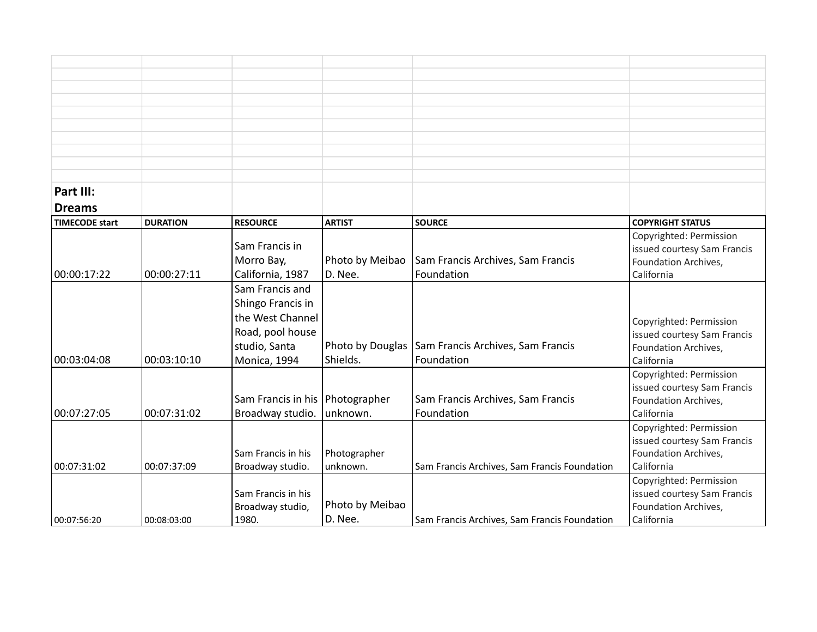| Part III:             |                 |                    |                  |                                              |                                                        |
|-----------------------|-----------------|--------------------|------------------|----------------------------------------------|--------------------------------------------------------|
| <b>Dreams</b>         |                 |                    |                  |                                              |                                                        |
| <b>TIMECODE start</b> | <b>DURATION</b> | <b>RESOURCE</b>    | <b>ARTIST</b>    | <b>SOURCE</b>                                | <b>COPYRIGHT STATUS</b>                                |
|                       |                 | Sam Francis in     |                  |                                              | Copyrighted: Permission<br>issued courtesy Sam Francis |
|                       |                 | Morro Bay,         | Photo by Meibao  | Sam Francis Archives, Sam Francis            | Foundation Archives,                                   |
| 00:00:17:22           | 00:00:27:11     | California, 1987   | D. Nee.          | Foundation                                   | California                                             |
|                       |                 | Sam Francis and    |                  |                                              |                                                        |
|                       |                 | Shingo Francis in  |                  |                                              |                                                        |
|                       |                 | the West Channel   |                  |                                              |                                                        |
|                       |                 |                    |                  |                                              | Copyrighted: Permission                                |
|                       |                 | Road, pool house   |                  |                                              | issued courtesy Sam Francis                            |
|                       |                 | studio, Santa      | Photo by Douglas | Sam Francis Archives, Sam Francis            | Foundation Archives,                                   |
| 00:03:04:08           | 00:03:10:10     | Monica, 1994       | Shields.         | Foundation                                   | California                                             |
|                       |                 |                    |                  |                                              | Copyrighted: Permission                                |
|                       |                 |                    |                  |                                              | issued courtesy Sam Francis                            |
|                       |                 | Sam Francis in his | Photographer     | Sam Francis Archives, Sam Francis            | Foundation Archives,                                   |
| 00:07:27:05           | 00:07:31:02     | Broadway studio.   | unknown.         | Foundation                                   | California                                             |
|                       |                 |                    |                  |                                              | Copyrighted: Permission                                |
|                       |                 |                    |                  |                                              | issued courtesy Sam Francis                            |
|                       |                 | Sam Francis in his | Photographer     |                                              | Foundation Archives,                                   |
| 00:07:31:02           | 00:07:37:09     | Broadway studio.   | unknown.         | Sam Francis Archives, Sam Francis Foundation | California                                             |
|                       |                 |                    |                  |                                              | Copyrighted: Permission                                |
|                       |                 | Sam Francis in his |                  |                                              | issued courtesy Sam Francis                            |
|                       |                 | Broadway studio,   | Photo by Meibao  |                                              | Foundation Archives,                                   |
| 00:07:56:20           | 00:08:03:00     | 1980.              | D. Nee.          | Sam Francis Archives, Sam Francis Foundation | California                                             |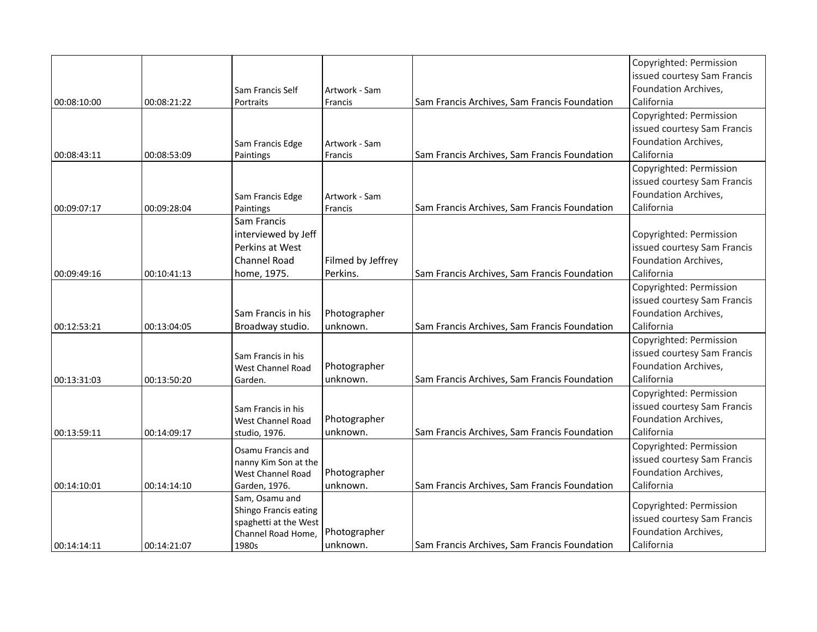| 00:14:14:11 | 00:14:21:07 | Shingo Francis eating<br>spaghetti at the West<br>Channel Road Home,<br>1980s        | Photographer<br>unknown.        | Sam Francis Archives, Sam Francis Foundation | issued courtesy Sam Francis<br>Foundation Archives,<br>California                            |
|-------------|-------------|--------------------------------------------------------------------------------------|---------------------------------|----------------------------------------------|----------------------------------------------------------------------------------------------|
|             |             | Sam, Osamu and                                                                       |                                 |                                              | Copyrighted: Permission                                                                      |
| 00:14:10:01 | 00:14:14:10 | Osamu Francis and<br>nanny Kim Son at the<br>West Channel Road<br>Garden, 1976.      | Photographer<br>unknown.        | Sam Francis Archives, Sam Francis Foundation | Copyrighted: Permission<br>issued courtesy Sam Francis<br>Foundation Archives,<br>California |
| 00:13:59:11 | 00:14:09:17 | Sam Francis in his<br>West Channel Road<br>studio, 1976.                             | Photographer<br>unknown.        | Sam Francis Archives, Sam Francis Foundation | Copyrighted: Permission<br>issued courtesy Sam Francis<br>Foundation Archives,<br>California |
| 00:13:31:03 | 00:13:50:20 | Sam Francis in his<br>West Channel Road<br>Garden.                                   | Photographer<br>unknown.        | Sam Francis Archives, Sam Francis Foundation | Copyrighted: Permission<br>issued courtesy Sam Francis<br>Foundation Archives,<br>California |
| 00:12:53:21 | 00:13:04:05 | Sam Francis in his<br>Broadway studio.                                               | Photographer<br>unknown.        | Sam Francis Archives, Sam Francis Foundation | Copyrighted: Permission<br>issued courtesy Sam Francis<br>Foundation Archives,<br>California |
| 00:09:49:16 | 00:10:41:13 | Sam Francis<br>interviewed by Jeff<br>Perkins at West<br>Channel Road<br>home, 1975. | Filmed by Jeffrey<br>Perkins.   | Sam Francis Archives, Sam Francis Foundation | Copyrighted: Permission<br>issued courtesy Sam Francis<br>Foundation Archives,<br>California |
| 00:09:07:17 | 00:09:28:04 | Sam Francis Edge<br>Paintings                                                        | Artwork - Sam<br><b>Francis</b> | Sam Francis Archives, Sam Francis Foundation | Copyrighted: Permission<br>issued courtesy Sam Francis<br>Foundation Archives,<br>California |
| 00:08:43:11 | 00:08:53:09 | Sam Francis Edge<br>Paintings                                                        | Artwork - Sam<br>Francis        | Sam Francis Archives, Sam Francis Foundation | Copyrighted: Permission<br>issued courtesy Sam Francis<br>Foundation Archives,<br>California |
| 00:08:10:00 | 00:08:21:22 | Sam Francis Self<br>Portraits                                                        | Artwork - Sam<br>Francis        | Sam Francis Archives, Sam Francis Foundation | Copyrighted: Permission<br>issued courtesy Sam Francis<br>Foundation Archives,<br>California |